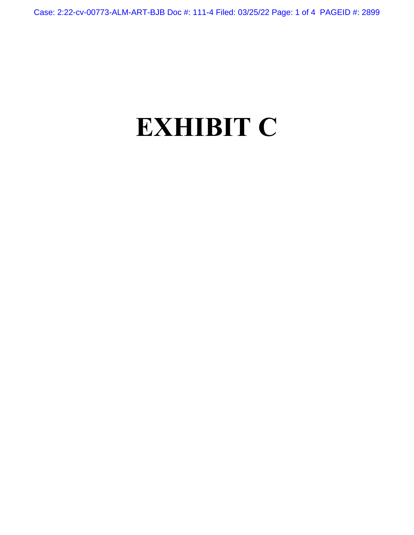## **EXHIBIT C**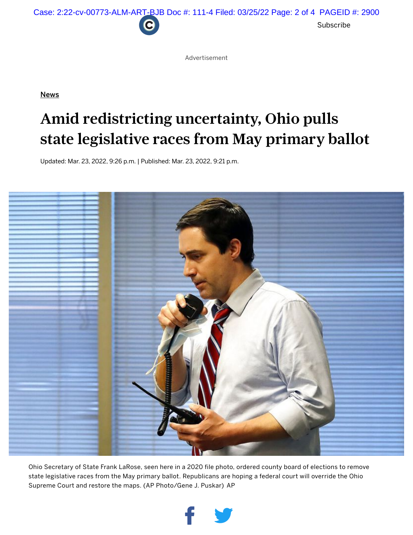

Advertisement

**[News](https://www.cleveland.com/news)** 

## Amid redistricting uncertainty, Ohio pulls state legislative races from May primary ballot

Updated: Mar. 23, 2022, 9:26 p.m. | Published: Mar. 23, 2022, 9:21 p.m.



Ohio Secretary of State Frank LaRose, seen here in a 2020 file photo, ordered county board of elections to remove state legislative races from the May primary ballot. Republicans are hoping a federal court will override the Ohio Supreme Court and restore the maps. (AP Photo/Gene J. Puskar) AP

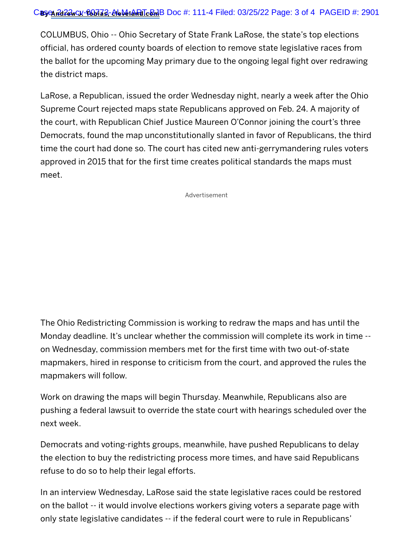COLUMBUS, Ohio -- Ohio Secretary of State Frank LaRose, the state's top elections official, has ordered county boards of election to remove state legislative races from the ballot for the upcoming May primary due to the ongoing legal fight over redrawing the district maps.

LaRose, a Republican, issued the order Wednesday night, nearly a week after the Ohio Supreme Court rejected maps state Republicans approved on Feb. 24. A majority of the court, with Republican Chief Justice Maureen O'Connor joining the court's three Democrats, found the map unconstitutionally slanted in favor of Republicans, the third time the court had done so. The court has cited new anti-gerrymandering rules voters approved in 2015 that for the first time creates political standards the maps must meet.

Advertisement

The Ohio Redistricting Commission is working to redraw the maps and has until the Monday deadline. It's unclear whether the commission will complete its work in time - on Wednesday, commission members met for the first time with two out-of-state mapmakers, hired in response to criticism from the court, and approved the rules the mapmakers will follow.

Work on drawing the maps will begin Thursday. Meanwhile, Republicans also are pushing a federal lawsuit to override the state court with hearings scheduled over the next week.

Democrats and voting-rights groups, meanwhile, have pushed Republicans to delay the election to buy the redistricting process more times, and have said Republicans refuse to do so to help their legal efforts.

In an interview Wednesday, LaRose said the state legislative races could be restored on the ballot -- it would involve elections workers giving voters a separate page with only state legislative candidates -- if the federal court were to rule in Republicans'